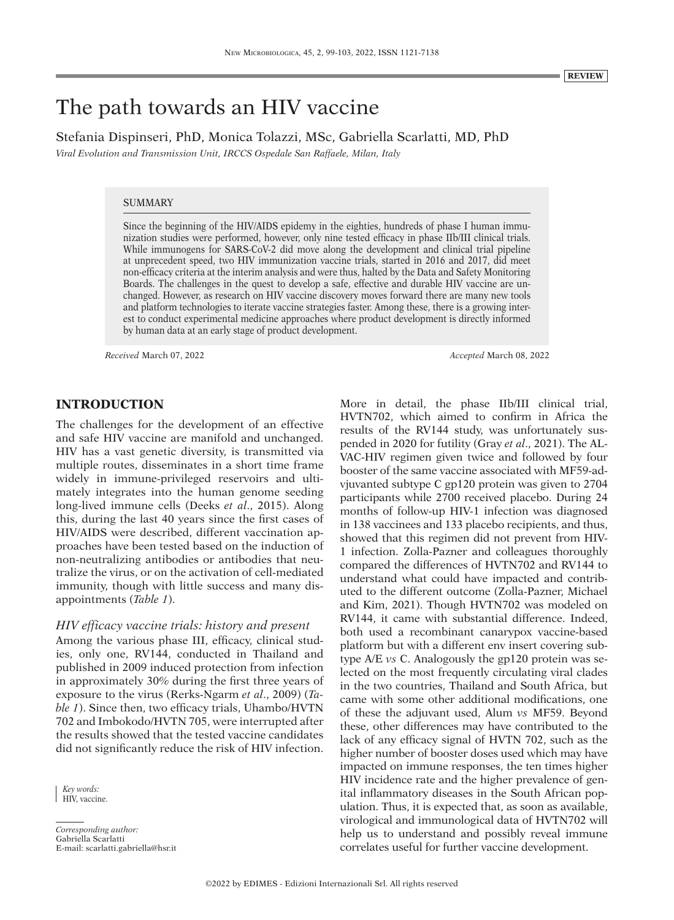# The path towards an HIV vaccine

Stefania Dispinseri, PhD, Monica Tolazzi, MSc, Gabriella Scarlatti, MD, PhD

*Viral Evolution and Transmission Unit, IRCCS Ospedale San Raffaele, Milan, Italy*

#### **SUMMARY**

Since the beginning of the HIV/AIDS epidemy in the eighties, hundreds of phase I human immunization studies were performed, however, only nine tested efficacy in phase IIb/III clinical trials. While immunogens for SARS-CoV-2 did move along the development and clinical trial pipeline at unprecedent speed, two HIV immunization vaccine trials, started in 2016 and 2017, did meet non-efficacy criteria at the interim analysis and were thus, halted by the Data and Safety Monitoring Boards. The challenges in the quest to develop a safe, effective and durable HIV vaccine are unchanged. However, as research on HIV vaccine discovery moves forward there are many new tools and platform technologies to iterate vaccine strategies faster. Among these, there is a growing interest to conduct experimental medicine approaches where product development is directly informed by human data at an early stage of product development.

*Received* March 07, 2022 *Accepted* March 08, 2022

# **INTRODUCTION**

The challenges for the development of an effective and safe HIV vaccine are manifold and unchanged. HIV has a vast genetic diversity, is transmitted via multiple routes, disseminates in a short time frame widely in immune-privileged reservoirs and ultimately integrates into the human genome seeding long-lived immune cells (Deeks *et al*., 2015). Along this, during the last 40 years since the first cases of HIV/AIDS were described, different vaccination approaches have been tested based on the induction of non-neutralizing antibodies or antibodies that neutralize the virus, or on the activation of cell-mediated immunity, though with little success and many disappointments (*Table 1*).

## *HIV efficacy vaccine trials: history and present*

Among the various phase III, efficacy, clinical studies, only one, RV144, conducted in Thailand and published in 2009 induced protection from infection in approximately 30% during the first three years of exposure to the virus (Rerks-Ngarm *et al*., 2009) (*Table 1*). Since then, two efficacy trials, Uhambo/HVTN 702 and Imbokodo/HVTN 705, were interrupted after the results showed that the tested vaccine candidates did not significantly reduce the risk of HIV infection.

*Corresponding author:* Gabriella Scarlatti E-mail: scarlatti.gabriella@hsr.it More in detail, the phase IIb/III clinical trial, HVTN702, which aimed to confirm in Africa the results of the RV144 study, was unfortunately suspended in 2020 for futility (Gray *et al*., 2021). The AL-VAC-HIV regimen given twice and followed by four booster of the same vaccine associated with MF59-advjuvanted subtype C gp120 protein was given to 2704 participants while 2700 received placebo. During 24 months of follow-up HIV-1 infection was diagnosed in 138 vaccinees and 133 placebo recipients, and thus, showed that this regimen did not prevent from HIV-1 infection. Zolla-Pazner and colleagues thoroughly compared the differences of HVTN702 and RV144 to understand what could have impacted and contributed to the different outcome (Zolla-Pazner, Michael and Kim, 2021). Though HVTN702 was modeled on RV144, it came with substantial difference. Indeed, both used a recombinant canarypox vaccine-based platform but with a different env insert covering subtype A/E *vs* C. Analogously the gp120 protein was selected on the most frequently circulating viral clades in the two countries, Thailand and South Africa, but came with some other additional modifications, one of these the adjuvant used, Alum *vs* MF59. Beyond these, other differences may have contributed to the lack of any efficacy signal of HVTN 702, such as the higher number of booster doses used which may have impacted on immune responses, the ten times higher HIV incidence rate and the higher prevalence of genital inflammatory diseases in the South African population. Thus, it is expected that, as soon as available, virological and immunological data of HVTN702 will help us to understand and possibly reveal immune correlates useful for further vaccine development.

*Key words:* HIV, vaccine.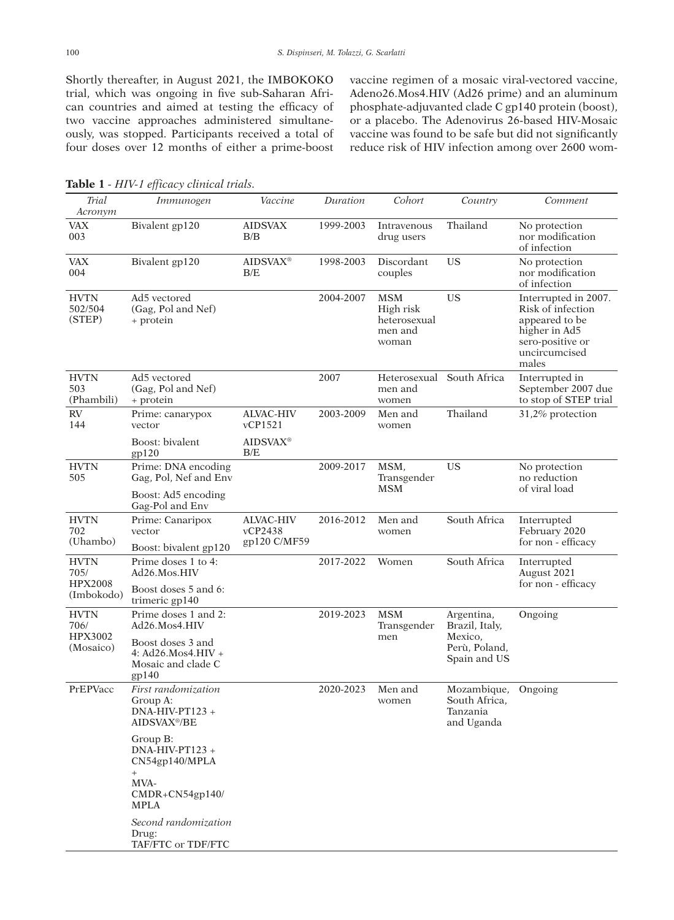Shortly thereafter, in August 2021, the IMBOKOKO trial, which was ongoing in five sub-Saharan African countries and aimed at testing the efficacy of two vaccine approaches administered simultaneously, was stopped. Participants received a total of four doses over 12 months of either a prime-boost vaccine regimen of a mosaic viral-vectored vaccine, Adeno26.Mos4.HIV (Ad26 prime) and an aluminum phosphate-adjuvanted clade C gp140 protein (boost), or a placebo. The Adenovirus 26-based HIV-Mosaic vaccine was found to be safe but did not significantly reduce risk of HIV infection among over 2600 wom-

| Trial<br>Acronym                                    | Immunogen                                                                                 | Vaccine                                     | Duration  | Cohort                                                      | Country                                                                  | Comment                                                                                                                    |
|-----------------------------------------------------|-------------------------------------------------------------------------------------------|---------------------------------------------|-----------|-------------------------------------------------------------|--------------------------------------------------------------------------|----------------------------------------------------------------------------------------------------------------------------|
| <b>VAX</b><br>003                                   | Bivalent gp120                                                                            | <b>AIDSVAX</b><br>B/B                       | 1999-2003 | Intravenous<br>drug users                                   | Thailand                                                                 | No protection<br>nor modification<br>of infection                                                                          |
| <b>VAX</b><br>004                                   | Bivalent gp120                                                                            | <b>AIDSVAX®</b><br>B/E                      | 1998-2003 | <b>Discordant</b><br>couples                                | <b>US</b>                                                                | No protection<br>nor modification<br>of infection                                                                          |
| <b>HVTN</b><br>502/504<br>(STEP)                    | Ad5 vectored<br>(Gag, Pol and Nef)<br>+ protein                                           |                                             | 2004-2007 | <b>MSM</b><br>High risk<br>heterosexual<br>men and<br>woman | <b>US</b>                                                                | Interrupted in 2007.<br>Risk of infection<br>appeared to be<br>higher in Ad5<br>sero-positive or<br>uncircumcised<br>males |
| <b>HVTN</b><br>503<br>(Phambili)                    | Ad5 vectored<br>(Gag, Pol and Nef)<br>+ protein                                           |                                             | 2007      | Heterosexual<br>men and<br>women                            | South Africa                                                             | Interrupted in<br>September 2007 due<br>to stop of STEP trial                                                              |
| <b>RV</b><br>144                                    | Prime: canarypox<br>vector                                                                | <b>ALVAC-HIV</b><br>vCP1521                 | 2003-2009 | Men and<br>women                                            | Thailand                                                                 | 31,2% protection                                                                                                           |
|                                                     | Boost: bivalent<br>gp120                                                                  | <b>AIDSVAX®</b><br>B/E                      |           |                                                             |                                                                          |                                                                                                                            |
| <b>HVTN</b><br>505                                  | Prime: DNA encoding<br>Gag, Pol, Nef and Env                                              |                                             | 2009-2017 | MSM,<br>Transgender<br><b>MSM</b>                           | <b>US</b>                                                                | No protection<br>no reduction<br>of viral load                                                                             |
|                                                     | Boost: Ad5 encoding<br>Gag-Pol and Env                                                    |                                             |           |                                                             |                                                                          |                                                                                                                            |
| <b>HVTN</b><br>702<br>(Uhambo)                      | Prime: Canaripox<br>vector<br>Boost: bivalent gp120                                       | <b>ALVAC-HIV</b><br>vCP2438<br>gp120 C/MF59 | 2016-2012 | Men and<br>women                                            | South Africa                                                             | Interrupted<br>February 2020<br>for non - efficacy                                                                         |
| <b>HVTN</b><br>705/<br><b>HPX2008</b><br>(Imbokodo) | Prime doses 1 to 4:<br>Ad26.Mos.HIV                                                       |                                             | 2017-2022 | Women                                                       | South Africa                                                             | Interrupted<br>August 2021<br>for non - efficacy                                                                           |
|                                                     | Boost doses 5 and 6:<br>trimeric gp140                                                    |                                             |           |                                                             |                                                                          |                                                                                                                            |
| <b>HVTN</b><br>706/<br>HPX3002<br>(Mosaico)         | Prime doses 1 and 2:<br>Ad26.Mos4.HIV                                                     |                                             | 2019-2023 | <b>MSM</b><br>Transgender<br>men                            | Argentina,<br>Brazil, Italy,<br>Mexico,<br>Perù, Poland,<br>Spain and US | Ongoing                                                                                                                    |
|                                                     | Boost doses 3 and<br>$4: Ad26.Mos4.HIV +$<br>Mosaic and clade C<br>gp140                  |                                             |           |                                                             |                                                                          |                                                                                                                            |
| PrEPVacc                                            | First randomization<br>Group A:<br>$DNA-HIV-PT123 +$<br>AIDSVAX <sup>®</sup> /BE          |                                             | 2020-2023 | Men and<br>women                                            | Mozambique,<br>South Africa.<br>Tanzania<br>and Uganda                   | Ongoing                                                                                                                    |
|                                                     | Group B:<br>$DNA-HIV-PT123 +$<br>CN54gp140/MPLA<br>$+$<br>MVA-<br>CMDR+CN54gp140/<br>MPLA |                                             |           |                                                             |                                                                          |                                                                                                                            |
|                                                     | Second randomization<br>Drug:<br>TAF/FTC or TDF/FTC                                       |                                             |           |                                                             |                                                                          |                                                                                                                            |

**Table 1** *- HIV-1 efficacy clinical trials.*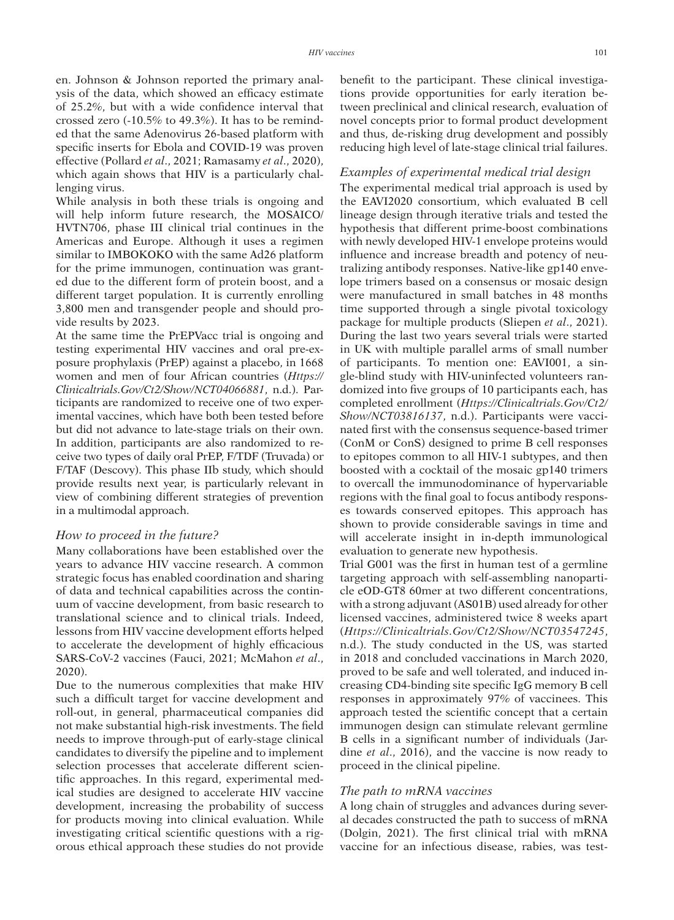en. Johnson & Johnson reported the primary analysis of the data, which showed an efficacy estimate of 25.2%, but with a wide confidence interval that crossed zero (-10.5% to 49.3%). It has to be reminded that the same Adenovirus 26-based platform with specific inserts for Ebola and COVID-19 was proven effective (Pollard *et al*., 2021; Ramasamy *et al*., 2020), which again shows that HIV is a particularly challenging virus.

While analysis in both these trials is ongoing and will help inform future research, the MOSAICO/ HVTN706, phase III clinical trial continues in the Americas and Europe. Although it uses a regimen similar to IMBOKOKO with the same Ad26 platform for the prime immunogen, continuation was granted due to the different form of protein boost, and a different target population. It is currently enrolling 3,800 men and transgender people and should provide results by 2023.

At the same time the PrEPVacc trial is ongoing and testing experimental HIV vaccines and oral pre-exposure prophylaxis (PrEP) against a placebo, in 1668 women and men of four African countries (*Https:// Clinicaltrials.Gov/Ct2/Show/NCT04066881*, n.d.). Participants are randomized to receive one of two experimental vaccines, which have both been tested before but did not advance to late-stage trials on their own. In addition, participants are also randomized to receive two types of daily oral PrEP, F/TDF (Truvada) or F/TAF (Descovy). This phase IIb study, which should provide results next year, is particularly relevant in view of combining different strategies of prevention in a multimodal approach.

#### *How to proceed in the future?*

Many collaborations have been established over the years to advance HIV vaccine research. A common strategic focus has enabled coordination and sharing of data and technical capabilities across the continuum of vaccine development, from basic research to translational science and to clinical trials. Indeed, lessons from HIV vaccine development efforts helped to accelerate the development of highly efficacious SARS-CoV-2 vaccines (Fauci, 2021; McMahon *et al*., 2020).

Due to the numerous complexities that make HIV such a difficult target for vaccine development and roll-out, in general, pharmaceutical companies did not make substantial high-risk investments. The field needs to improve through-put of early-stage clinical candidates to diversify the pipeline and to implement selection processes that accelerate different scientific approaches. In this regard, experimental medical studies are designed to accelerate HIV vaccine development, increasing the probability of success for products moving into clinical evaluation. While investigating critical scientific questions with a rigorous ethical approach these studies do not provide benefit to the participant. These clinical investigations provide opportunities for early iteration between preclinical and clinical research, evaluation of novel concepts prior to formal product development and thus, de-risking drug development and possibly reducing high level of late-stage clinical trial failures.

#### *Examples of experimental medical trial design*

The experimental medical trial approach is used by the EAVI2020 consortium, which evaluated B cell lineage design through iterative trials and tested the hypothesis that different prime-boost combinations with newly developed HIV-1 envelope proteins would influence and increase breadth and potency of neutralizing antibody responses. Native-like gp140 envelope trimers based on a consensus or mosaic design were manufactured in small batches in 48 months time supported through a single pivotal toxicology package for multiple products (Sliepen *et al*., 2021). During the last two years several trials were started in UK with multiple parallel arms of small number of participants. To mention one: EAVI001, a single-blind study with HIV-uninfected volunteers randomized into five groups of 10 participants each, has completed enrollment (*Https://Clinicaltrials.Gov/Ct2/ Show/NCT03816137*, n.d.). Participants were vaccinated first with the consensus sequence-based trimer (ConM or ConS) designed to prime B cell responses to epitopes common to all HIV-1 subtypes, and then boosted with a cocktail of the mosaic gp140 trimers to overcall the immunodominance of hypervariable regions with the final goal to focus antibody responses towards conserved epitopes. This approach has shown to provide considerable savings in time and will accelerate insight in in-depth immunological evaluation to generate new hypothesis.

Trial G001 was the first in human test of a germline targeting approach with self-assembling nanoparticle eOD-GT8 60mer at two different concentrations, with a strong adjuvant (AS01B) used already for other licensed vaccines, administered twice 8 weeks apart (*Https://Clinicaltrials.Gov/Ct2/Show/NCT03547245*, n.d.). The study conducted in the US, was started in 2018 and concluded vaccinations in March 2020, proved to be safe and well tolerated, and induced increasing CD4-binding site specific IgG memory B cell responses in approximately 97% of vaccinees. This approach tested the scientific concept that a certain immunogen design can stimulate relevant germline B cells in a significant number of individuals (Jardine *et al*., 2016), and the vaccine is now ready to proceed in the clinical pipeline.

## *The path to mRNA vaccines*

A long chain of struggles and advances during several decades constructed the path to success of mRNA (Dolgin, 2021). The first clinical trial with mRNA vaccine for an infectious disease, rabies, was test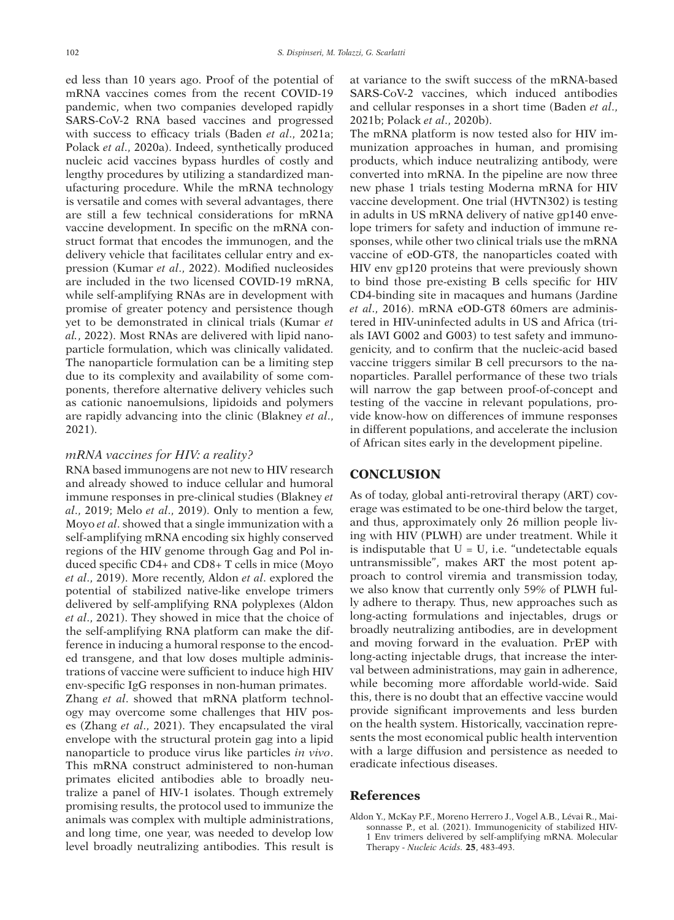ed less than 10 years ago. Proof of the potential of mRNA vaccines comes from the recent COVID-19 pandemic, when two companies developed rapidly SARS-CoV-2 RNA based vaccines and progressed with success to efficacy trials (Baden *et al*., 2021a; Polack *et al*., 2020a). Indeed, synthetically produced nucleic acid vaccines bypass hurdles of costly and lengthy procedures by utilizing a standardized manufacturing procedure. While the mRNA technology is versatile and comes with several advantages, there are still a few technical considerations for mRNA vaccine development. In specific on the mRNA construct format that encodes the immunogen, and the delivery vehicle that facilitates cellular entry and expression (Kumar *et al*., 2022). Modified nucleosides are included in the two licensed COVID-19 mRNA, while self-amplifying RNAs are in development with promise of greater potency and persistence though yet to be demonstrated in clinical trials (Kumar *et al.*, 2022). Most RNAs are delivered with lipid nanoparticle formulation, which was clinically validated. The nanoparticle formulation can be a limiting step due to its complexity and availability of some components, therefore alternative delivery vehicles such as cationic nanoemulsions, lipidoids and polymers are rapidly advancing into the clinic (Blakney *et al*., 2021).

#### *mRNA vaccines for HIV: a reality?*

RNA based immunogens are not new to HIV research and already showed to induce cellular and humoral immune responses in pre-clinical studies (Blakney *et al*., 2019; Melo *et al*., 2019). Only to mention a few, Moyo *et al*. showed that a single immunization with a self-amplifying mRNA encoding six highly conserved regions of the HIV genome through Gag and Pol induced specific CD4+ and CD8+ T cells in mice (Moyo *et al*., 2019). More recently, Aldon *et al*. explored the potential of stabilized native-like envelope trimers delivered by self-amplifying RNA polyplexes (Aldon *et al*., 2021). They showed in mice that the choice of the self-amplifying RNA platform can make the difference in inducing a humoral response to the encoded transgene, and that low doses multiple administrations of vaccine were sufficient to induce high HIV env-specific IgG responses in non-human primates. Zhang *et al*. showed that mRNA platform technology may overcome some challenges that HIV poses (Zhang *et al*., 2021). They encapsulated the viral envelope with the structural protein gag into a lipid nanoparticle to produce virus like particles *in vivo*. This mRNA construct administered to non-human

primates elicited antibodies able to broadly neutralize a panel of HIV-1 isolates. Though extremely promising results, the protocol used to immunize the animals was complex with multiple administrations, and long time, one year, was needed to develop low level broadly neutralizing antibodies. This result is

at variance to the swift success of the mRNA-based SARS-CoV-2 vaccines, which induced antibodies and cellular responses in a short time (Baden *et al*., 2021b; Polack *et al*., 2020b).

The mRNA platform is now tested also for HIV immunization approaches in human, and promising products, which induce neutralizing antibody, were converted into mRNA. In the pipeline are now three new phase 1 trials testing Moderna mRNA for HIV vaccine development. One trial (HVTN302) is testing in adults in US mRNA delivery of native gp140 envelope trimers for safety and induction of immune responses, while other two clinical trials use the mRNA vaccine of eOD-GT8, the nanoparticles coated with HIV env gp120 proteins that were previously shown to bind those pre-existing B cells specific for HIV CD4-binding site in macaques and humans (Jardine *et al*., 2016). mRNA eOD-GT8 60mers are administered in HIV-uninfected adults in US and Africa (trials IAVI G002 and G003) to test safety and immunogenicity, and to confirm that the nucleic-acid based vaccine triggers similar B cell precursors to the nanoparticles. Parallel performance of these two trials will narrow the gap between proof-of-concept and testing of the vaccine in relevant populations, provide know-how on differences of immune responses in different populations, and accelerate the inclusion of African sites early in the development pipeline.

## **CONCLUSION**

As of today, global anti-retroviral therapy (ART) coverage was estimated to be one-third below the target, and thus, approximately only 26 million people living with HIV (PLWH) are under treatment. While it is indisputable that  $U = U$ , i.e. "undetectable equals untransmissible", makes ART the most potent approach to control viremia and transmission today, we also know that currently only 59% of PLWH fully adhere to therapy. Thus, new approaches such as long-acting formulations and injectables, drugs or broadly neutralizing antibodies, are in development and moving forward in the evaluation. PrEP with long-acting injectable drugs, that increase the interval between administrations, may gain in adherence, while becoming more affordable world-wide. Said this, there is no doubt that an effective vaccine would provide significant improvements and less burden on the health system. Historically, vaccination represents the most economical public health intervention with a large diffusion and persistence as needed to eradicate infectious diseases.

### **References**

Aldon Y., McKay P.F., Moreno Herrero J., Vogel A.B., Lévai R., Maisonnasse P., et al. (2021). Immunogenicity of stabilized HIV-1 Env trimers delivered by self-amplifying mRNA. Molecular Therapy - *Nucleic Acids.* **25**, 483-493.